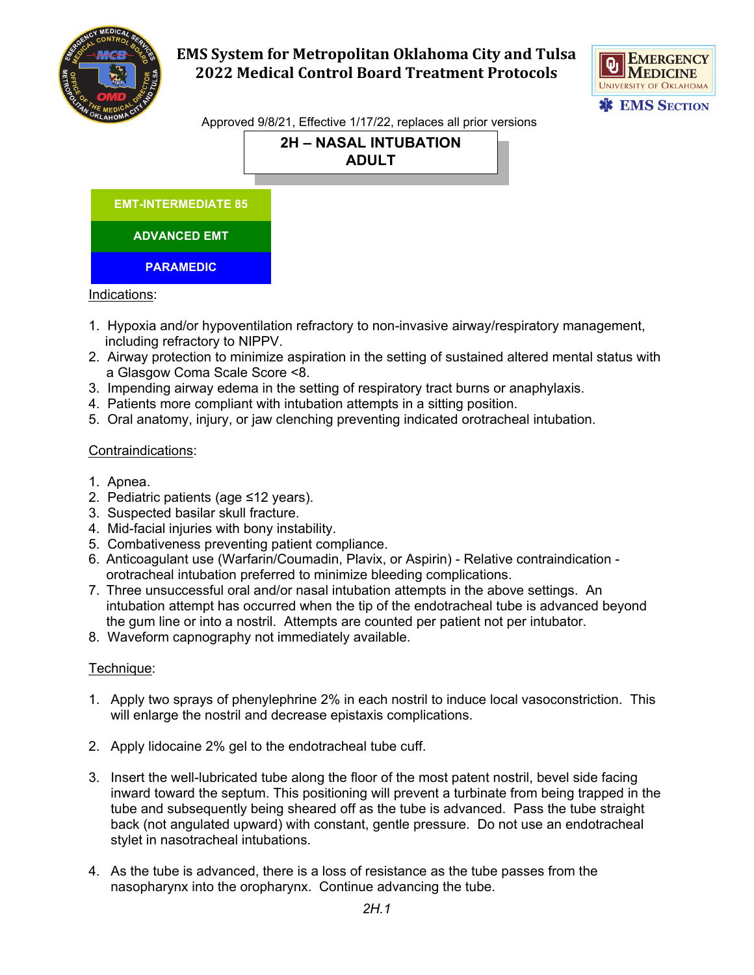

# **EMS System for Metropolitan Oklahoma City and Tulsa 2022 Medical Control Board Treatment Protocols**



Approved 9/8/21, Effective 1/17/22, replaces all prior versions

## **2H – NASAL INTUBATION ADULT**



### Indications:

- 1. Hypoxia and/or hypoventilation refractory to non-invasive airway/respiratory management, including refractory to NIPPV.
- 2. Airway protection to minimize aspiration in the setting of sustained altered mental status with a Glasgow Coma Scale Score <8.
- 3. Impending airway edema in the setting of respiratory tract burns or anaphylaxis.
- 4. Patients more compliant with intubation attempts in a sitting position.
- 5. Oral anatomy, injury, or jaw clenching preventing indicated orotracheal intubation.

### Contraindications:

- 1. Apnea.
- 2. Pediatric patients (age ≤12 years).
- 3. Suspected basilar skull fracture.
- 4. Mid-facial injuries with bony instability.
- 5. Combativeness preventing patient compliance.
- 6. Anticoagulant use (Warfarin/Coumadin, Plavix, or Aspirin) Relative contraindication orotracheal intubation preferred to minimize bleeding complications.
- 7. Three unsuccessful oral and/or nasal intubation attempts in the above settings. An intubation attempt has occurred when the tip of the endotracheal tube is advanced beyond the gum line or into a nostril. Attempts are counted per patient not per intubator.
- 8. Waveform capnography not immediately available.

### Technique:

- 1. Apply two sprays of phenylephrine 2% in each nostril to induce local vasoconstriction. This will enlarge the nostril and decrease epistaxis complications.
- 2. Apply lidocaine 2% gel to the endotracheal tube cuff.
- 3. Insert the well-lubricated tube along the floor of the most patent nostril, bevel side facing inward toward the septum. This positioning will prevent a turbinate from being trapped in the tube and subsequently being sheared off as the tube is advanced. Pass the tube straight back (not angulated upward) with constant, gentle pressure. Do not use an endotracheal stylet in nasotracheal intubations.
- 4. As the tube is advanced, there is a loss of resistance as the tube passes from the nasopharynx into the oropharynx. Continue advancing the tube.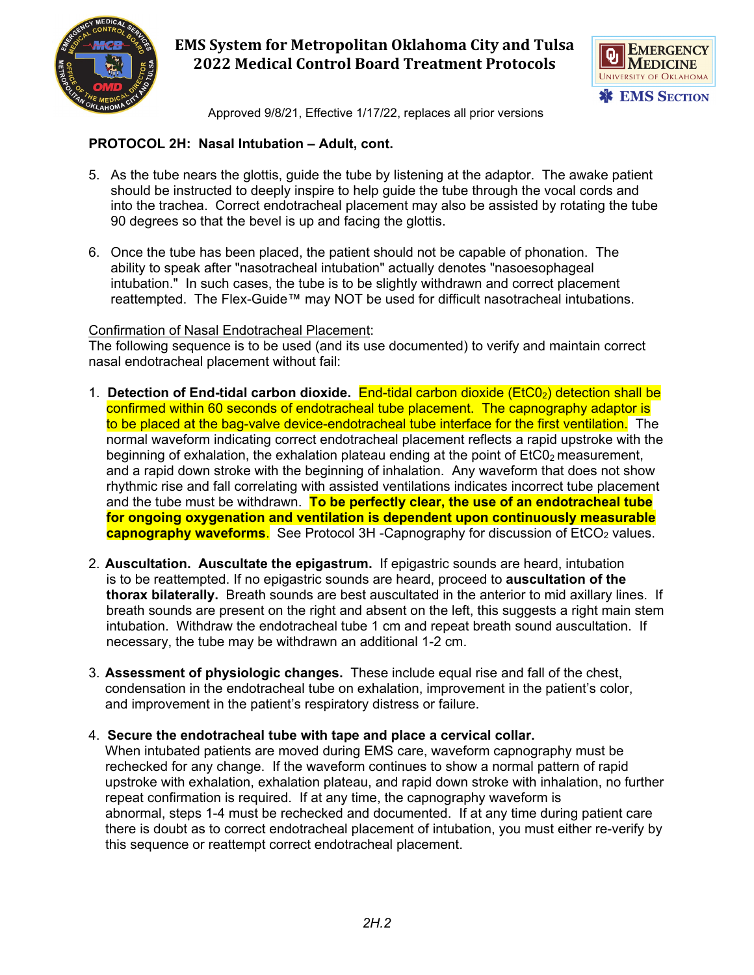

## **EMS System for Metropolitan Oklahoma City and Tulsa 2022 Medical Control Board Treatment Protocols**



Approved 9/8/21, Effective 1/17/22, replaces all prior versions

### **PROTOCOL 2H: Nasal Intubation – Adult, cont.**

- 5. As the tube nears the glottis, guide the tube by listening at the adaptor. The awake patient should be instructed to deeply inspire to help guide the tube through the vocal cords and into the trachea. Correct endotracheal placement may also be assisted by rotating the tube 90 degrees so that the bevel is up and facing the glottis.
- 6. Once the tube has been placed, the patient should not be capable of phonation. The ability to speak after "nasotracheal intubation" actually denotes "nasoesophageal intubation." In such cases, the tube is to be slightly withdrawn and correct placement reattempted. The Flex-Guide™ may NOT be used for difficult nasotracheal intubations.

### Confirmation of Nasal Endotracheal Placement:

The following sequence is to be used (and its use documented) to verify and maintain correct nasal endotracheal placement without fail:

- 1. **Detection of End-tidal carbon dioxide.** End-tidal carbon dioxide (EtC0<sub>2</sub>) detection shall be confirmed within 60 seconds of endotracheal tube placement. The capnography adaptor is to be placed at the bag-valve device-endotracheal tube interface for the first ventilation. The normal waveform indicating correct endotracheal placement reflects a rapid upstroke with the beginning of exhalation, the exhalation plateau ending at the point of  $E<sub>1</sub>C<sub>0</sub>$  measurement, and a rapid down stroke with the beginning of inhalation. Any waveform that does not show rhythmic rise and fall correlating with assisted ventilations indicates incorrect tube placement and the tube must be withdrawn. **To be perfectly clear, the use of an endotracheal tube for ongoing oxygenation and ventilation is dependent upon continuously measurable capnography waveforms.** See Protocol 3H -Capnography for discussion of EtCO<sub>2</sub> values.
- 2. **Auscultation. Auscultate the epigastrum.** If epigastric sounds are heard, intubation is to be reattempted. If no epigastric sounds are heard, proceed to **auscultation of the thorax bilaterally.** Breath sounds are best auscultated in the anterior to mid axillary lines. If breath sounds are present on the right and absent on the left, this suggests a right main stem intubation. Withdraw the endotracheal tube 1 cm and repeat breath sound auscultation. If necessary, the tube may be withdrawn an additional 1-2 cm.
- 3. **Assessment of physiologic changes.** These include equal rise and fall of the chest, condensation in the endotracheal tube on exhalation, improvement in the patient's color, and improvement in the patient's respiratory distress or failure.
- 4. **Secure the endotracheal tube with tape and place a cervical collar.**

When intubated patients are moved during EMS care, waveform capnography must be rechecked for any change. If the waveform continues to show a normal pattern of rapid upstroke with exhalation, exhalation plateau, and rapid down stroke with inhalation, no further repeat confirmation is required. If at any time, the capnography waveform is abnormal, steps 1-4 must be rechecked and documented. If at any time during patient care there is doubt as to correct endotracheal placement of intubation, you must either re-verify by this sequence or reattempt correct endotracheal placement.